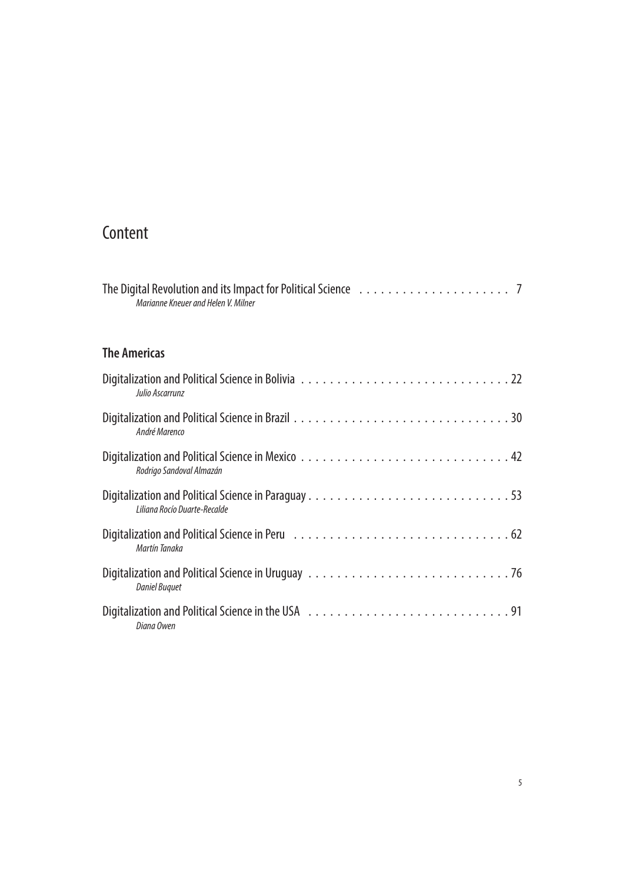## **Content**

| Marianne Kneuer and Helen V. Milner |
|-------------------------------------|
| <b>The Americas</b>                 |
| Julio Ascarrunz                     |
| André Marenco                       |
| Rodrigo Sandoval Almazán            |
| Liliana Rocío Duarte-Recalde        |
| Martín Tanaka                       |
| <b>Daniel Buquet</b>                |
| Diana Owen                          |